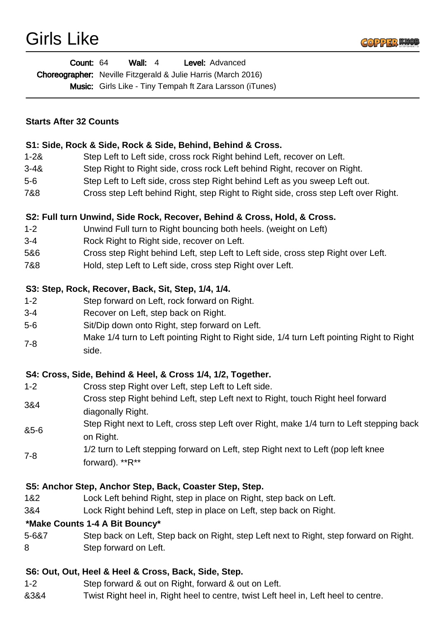| <b>Count: 64</b> | Wall: $4$ | <b>Level:</b> Advanced                                               |
|------------------|-----------|----------------------------------------------------------------------|
|                  |           | <b>Choreographer:</b> Neville Fitzgerald & Julie Harris (March 2016) |
|                  |           | <b>Music:</b> Girls Like - Tiny Tempah ft Zara Larsson (iTunes)      |

### **Starts After 32 Counts**

#### **S1: Side, Rock & Side, Rock & Side, Behind, Behind & Cross.**

- 1-2& Step Left to Left side, cross rock Right behind Left, recover on Left.
- 3-4& Step Right to Right side, cross rock Left behind Right, recover on Right.
- 5-6 Step Left to Left side, cross step Right behind Left as you sweep Left out.
- 7&8 Cross step Left behind Right, step Right to Right side, cross step Left over Right.

## **S2: Full turn Unwind, Side Rock, Recover, Behind & Cross, Hold, & Cross.**

- 1-2 Unwind Full turn to Right bouncing both heels. (weight on Left)
- 3-4 Rock Right to Right side, recover on Left.
- 5&6 Cross step Right behind Left, step Left to Left side, cross step Right over Left.
- 7&8 Hold, step Left to Left side, cross step Right over Left.

#### **S3: Step, Rock, Recover, Back, Sit, Step, 1/4, 1/4.**

- 1-2 Step forward on Left, rock forward on Right.
- 3-4 Recover on Left, step back on Right.
- 5-6 Sit/Dip down onto Right, step forward on Left.
- 7-8 Make 1/4 turn to Left pointing Right to Right side, 1/4 turn Left pointing Right to Right side.

## **S4: Cross, Side, Behind & Heel, & Cross 1/4, 1/2, Together.**

- 1-2 Cross step Right over Left, step Left to Left side.
- 3&4 Cross step Right behind Left, step Left next to Right, touch Right heel forward diagonally Right.
- &5-6 Step Right next to Left, cross step Left over Right, make 1/4 turn to Left stepping back on Right.
- 7-8 1/2 turn to Left stepping forward on Left, step Right next to Left (pop left knee
- forward). \*\*R\*\*

## **S5: Anchor Step, Anchor Step, Back, Coaster Step, Step.**

- 1&2 Lock Left behind Right, step in place on Right, step back on Left.
- 3&4 Lock Right behind Left, step in place on Left, step back on Right.

#### **\*Make Counts 1-4 A Bit Bouncy\***

5-6&7 Step back on Left, Step back on Right, step Left next to Right, step forward on Right. 8 Step forward on Left.

## **S6: Out, Out, Heel & Heel & Cross, Back, Side, Step.**

- 1-2 Step forward & out on Right, forward & out on Left.
- &3&4 Twist Right heel in, Right heel to centre, twist Left heel in, Left heel to centre.